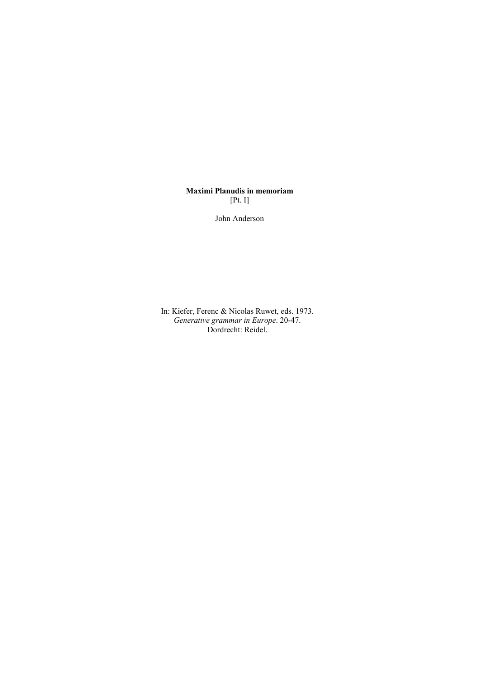# **Maximi Planudis in memoriam**  [Pt. I]

John Anderson

In: Kiefer, Ferenc & Nicolas Ruwet, eds. 1973. *Generative grammar in Europe*. 20-47. Dordrecht: Reidel.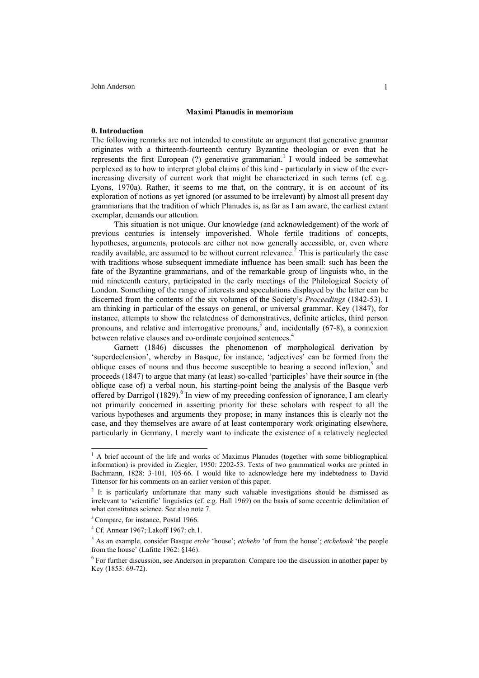#### **Maximi Planudis in memoriam**

#### **0. Introduction**

The following remarks are not intended to constitute an argument that generative grammar originates with a thirteenth-fourteenth century Byzantine theologian or even that he represents the first European (?) generative grammarian.<sup>1</sup> I would indeed be somewhat perplexed as to how to interpret global claims of this kind - particularly in view of the everincreasing diversity of current work that might be characterized in such terms (cf. e.g. Lyons, 1970a). Rather, it seems to me that, on the contrary, it is on account of its exploration of notions as yet ignored (or assumed to be irrelevant) by almost all present day grammarians that the tradition of which Planudes is, as far as I am aware, the earliest extant exemplar, demands our attention.

This situation is not unique. Our knowledge (and acknowledgement) of the work of previous centuries is intensely impoverished. Whole fertile traditions of concepts, hypotheses, arguments, protocols are either not now generally accessible, or, even where readily available, are assumed to be without current relevance.<sup>[2](#page-2-1)</sup> This is particularly the case with traditions whose subsequent immediate influence has been small: such has been the fate of the Byzantine grammarians, and of the remarkable group of linguists who, in the mid nineteenth century, participated in the early meetings of the Philological Society of London. Something of the range of interests and speculations displayed by the latter can be discerned from the contents of the six volumes of the Society's *Proceedings* (1842-53). I am thinking in particular of the essays on general, or universal grammar. Key (1847), for instance, attempts to show the relatedness of demonstratives, definite articles, third person pronouns, and relative and interrogative pronouns, [3](#page-2-2) and, incidentally (67-8), a connexion between relative clauses and co-ordinate conjoined sentences.<sup>[4](#page-2-3)</sup>

Garnett (1846) discusses the phenomenon of morphological derivation by 'superdeclension', whereby in Basque, for instance, 'adjectives' can be formed from the oblique cases of nouns and thus become susceptible to bearing a second inflexion,<sup>[5](#page-2-4)</sup> and proceeds (1847) to argue that many (at least) so-called 'participles' have their source in (the oblique case of) a verbal noun, his starting-point being the analysis of the Basque verb offered by Darrigol (1829).<sup>6</sup> In view of my preceding confession of ignorance, I am clearly not primarily concerned in asserting priority for these scholars with respect to all the various hypotheses and arguments they propose; in many instances this is clearly not the case, and they themselves are aware of at least contemporary work originating elsewhere, particularly in Germany. I merely want to indicate the existence of a relatively neglected

<span id="page-2-0"></span><sup>&</sup>lt;sup>1</sup> A brief account of the life and works of Maximus Planudes (together with some bibliographical information) is provided in Ziegler, 1950: 2202-53. Texts of two grammatical works are printed in Bachmann, 1828: 3-101, 105-66. I would like to acknowledge here my indebtedness to David Tittensor for his comments on an earlier version of this paper.

<span id="page-2-1"></span> $2$  It is particularly unfortunate that many such valuable investigations should be dismissed as irrelevant to 'scientific' linguistics (cf. e.g. Hall 1969) on the basis of some eccentric delimitation of what constitutes science. See also note 7.

<span id="page-2-2"></span><sup>&</sup>lt;sup>3</sup> Compare, for instance, Postal 1966.

<span id="page-2-3"></span><sup>4</sup> Cf. Annear 1967; Lakoff 1967: ch.1.

<span id="page-2-4"></span><sup>5</sup> As an example, consider Basque *etche* 'house'; *etcheko* 'of from the house'; *etchekoak* 'the people from the house' (Lafitte 1962: §146).

<span id="page-2-5"></span><sup>&</sup>lt;sup>6</sup> For further discussion, see Anderson in preparation. Compare too the discussion in another paper by Key (1853: 69-72).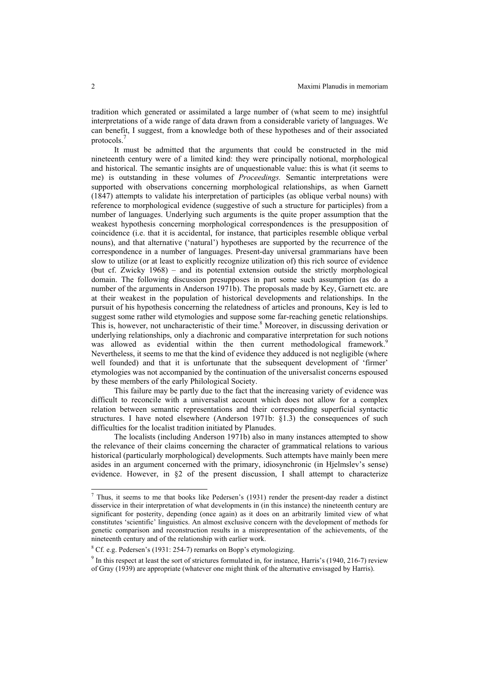tradition which generated or assimilated a large number of (what seem to me) insightful interpretations of a wide range of data drawn from a considerable variety of languages. We can benefit, I suggest, from a knowledge both of these hypotheses and of their associated protocols. [7](#page-3-0)

It must be admitted that the arguments that could be constructed in the mid nineteenth century were of a limited kind: they were principally notional, morphological and historical. The semantic insights are of unquestionable value: this is what (it seems to me) is outstanding in these volumes of *Proceedings.* Semantic interpretations were supported with observations concerning morphological relationships, as when Garnett (1847) attempts to validate his interpretation of participles (as oblique verbal nouns) with reference to morphological evidence (suggestive of such a structure for participles) from a number of languages. Underlying such arguments is the quite proper assumption that the weakest hypothesis concerning morphological correspondences is the presupposition of coincidence (i.e. that it is accidental, for instance, that participles resemble oblique verbal nouns), and that alternative ('natural') hypotheses are supported by the recurrence of the correspondence in a number of languages. Present-day universal grammarians have been slow to utilize (or at least to explicitly recognize utilization of) this rich source of evidence (but cf. Zwicky 1968) – and its potential extension outside the strictly morphological domain. The following discussion presupposes in part some such assumption (as do a number of the arguments in Anderson 1971b). The proposals made by Key, Garnett etc. are at their weakest in the population of historical developments and relationships. In the pursuit of his hypothesis concerning the relatedness of articles and pronouns, Key is led to suggest some rather wild etymologies and suppose some far-reaching genetic relationships. This is, however, not uncharacteristic of their time.<sup>[8](#page-3-1)</sup> Moreover, in discussing derivation or underlying relationships, only a diachronic and comparative interpretation for such notions was allowed as evidential within the then current methodological framework.<sup>[9](#page-3-2)</sup> Nevertheless, it seems to me that the kind of evidence they adduced is not negligible (where well founded) and that it is unfortunate that the subsequent development of 'firmer' etymologies was not accompanied by the continuation of the universalist concerns espoused by these members of the early Philological Society.

This failure may be partly due to the fact that the increasing variety of evidence was difficult to reconcile with a universalist account which does not allow for a complex relation between semantic representations and their corresponding superficial syntactic structures. I have noted elsewhere (Anderson 1971b: §1.3) the consequences of such difficulties for the localist tradition initiated by Planudes.

The localists (including Anderson 1971b) also in many instances attempted to show the relevance of their claims concerning the character of grammatical relations to various historical (particularly morphological) developments. Such attempts have mainly been mere asides in an argument concerned with the primary, idiosynchronic (in Hjelmslev's sense) evidence. However, in §2 of the present discussion, I shall attempt to characterize

<span id="page-3-0"></span> $<sup>7</sup>$  Thus, it seems to me that books like Pedersen's (1931) render the present-day reader a distinct</sup> disservice in their interpretation of what developments in (in this instance) the nineteenth century are significant for posterity, depending (once again) as it does on an arbitrarily limited view of what constitutes 'scientific' linguistics. An almost exclusive concern with the development of methods for genetic comparison and reconstruction results in a misrepresentation of the achievements, of the nineteenth century and of the relationship with earlier work.

<span id="page-3-1"></span> $8$  Cf. e.g. Pedersen's (1931: 254-7) remarks on Bopp's etymologizing.

<span id="page-3-2"></span><sup>&</sup>lt;sup>9</sup> In this respect at least the sort of strictures formulated in, for instance, Harris's (1940, 216-7) review of Gray (1939) are appropriate (whatever one might think of the alternative envisaged by Harris).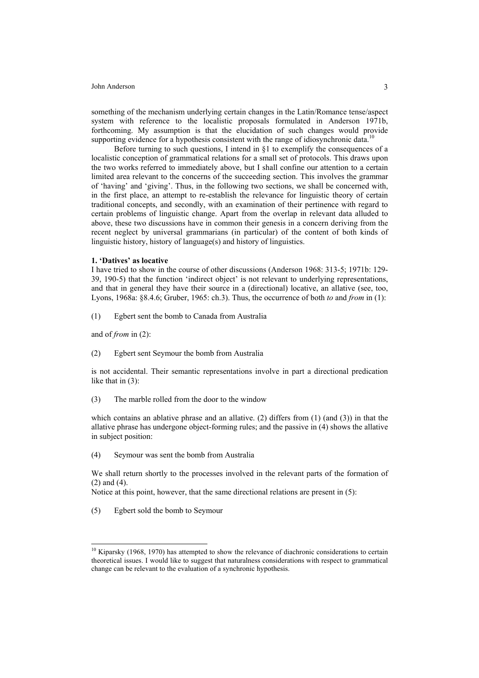something of the mechanism underlying certain changes in the Latin/Romance tense/aspect system with reference to the localistic proposals formulated in Anderson 1971b, forthcoming. My assumption is that the elucidation of such changes would provide supporting evidence for a hypothesis consistent with the range of idiosynchronic data.<sup>[10](#page-4-0)</sup>

Before turning to such questions, I intend in  $\S$ 1 to exemplify the consequences of a localistic conception of grammatical relations for a small set of protocols. This draws upon the two works referred to immediately above, but I shall confine our attention to a certain limited area relevant to the concerns of the succeeding section. This involves the grammar of 'having' and 'giving'. Thus, in the following two sections, we shall be concerned with, in the first place, an attempt to re-establish the relevance for linguistic theory of certain traditional concepts, and secondly, with an examination of their pertinence with regard to certain problems of linguistic change. Apart from the overlap in relevant data alluded to above, these two discussions have in common their genesis in a concern deriving from the recent neglect by universal grammarians (in particular) of the content of both kinds of linguistic history, history of language(s) and history of linguistics.

## **1. 'Datives' as locative**

I have tried to show in the course of other discussions (Anderson 1968: 313-5; 1971b: 129- 39, 190-5) that the function 'indirect object' is not relevant to underlying representations, and that in general they have their source in a (directional) locative, an allative (see, too, Lyons, 1968a: §8.4.6; Gruber, 1965: ch.3). Thus, the occurrence of both *to* and *from* in (1):

(1) Egbert sent the bomb to Canada from Australia

and of *from* in (2):

l

(2) Egbert sent Seymour the bomb from Australia

is not accidental. Their semantic representations involve in part a directional predication like that in (3):

(3) The marble rolled from the door to the window

which contains an ablative phrase and an allative. (2) differs from  $(1)$  (and  $(3)$ ) in that the allative phrase has undergone object-forming rules; and the passive in (4) shows the allative in subject position:

(4) Seymour was sent the bomb from Australia

We shall return shortly to the processes involved in the relevant parts of the formation of (2) and (4).

Notice at this point, however, that the same directional relations are present in (5):

(5) Egbert sold the bomb to Seymour

<span id="page-4-0"></span> $10$  Kiparsky (1968, 1970) has attempted to show the relevance of diachronic considerations to certain theoretical issues. I would like to suggest that naturalness considerations with respect to grammatical change can be relevant to the evaluation of a synchronic hypothesis.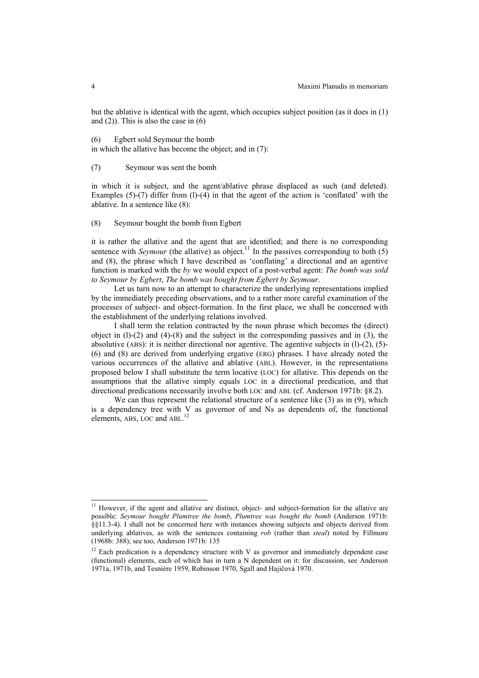but the ablative is identical with the agent, which occupies subject position (as it does in (1) and  $(2)$ ). This is also the case in  $(6)$ 

(6) Egbert sold Seymour the bomb in which the allative has become the object; and in (7):

(7) Seymour was sent the bomb

in which it is subject, and the agent/ablative phrase displaced as such (and deleted). Examples  $(5)-(7)$  differ from  $(1)-(4)$  in that the agent of the action is 'conflated' with the ablative. In a sentence like (8):

(8) Seymour bought the bomb from Egbert

it is rather the allative and the agent that are identified; and there is no corresponding sentence with *Seymour* (the allative) as object.<sup>11</sup> In the passives corresponding to both (5) and (8), the phrase which I have described as 'conflating' a directional and an agentive function is marked with the *by* we would expect of a post-verbal agent: *The bomb was sold to Seymour by Egbert*, *The bomb was bought from Egbert by Seymour*.

Let us turn now to an attempt to characterize the underlying representations implied by the immediately preceding observations, and to a rather more careful examination of the processes of subject- and object-formation. In the first place, we shall be concerned with the establishment of the underlying relations involved.

I shall term the relation contracted by the noun phrase which becomes the (direct) object in  $(1)-(2)$  and  $(4)-(8)$  and the subject in the corresponding passives and in  $(3)$ , the absolutive (ABS): it is neither directional nor agentive. The agentive subjects in (l)-(2), (5)- (6) and (8) are derived from underlying ergative (ERG) phrases. I have already noted the various occurrences of the allative and ablative (ABL). However, in the representations proposed below I shall substitute the term locative (LOC) for allative. This depends on the assumptions that the allative simply equals LOC in a directional predication, and that directional predications necessarily involve both LOC and ABL (cf. Anderson 1971b: §8.2).

We can thus represent the relational structure of a sentence like (3) as in (9), which is a dependency tree with V as governor of and Ns as dependents of, the functional elements, ABS, LOC and ABL.<sup>[12](#page-5-1)</sup>

<span id="page-5-0"></span><sup>&</sup>lt;sup>11</sup> However, if the agent and allative are distinct, object- and subject-formation for the allative are possible: *Seymour bought Plumtree the bomb*, *Plumtree was bought the bomb* (Anderson 1971b: §§11.3-4). I shall not be concerned here with instances showing subjects and objects derived from underlying ablatives, as with the sentences containing *rob* (rather than *steal*) noted by Fillmore (1968b: 388); see too, Anderson 1971b: 135

<span id="page-5-1"></span> $12$  Each predication is a dependency structure with V as governor and immediately dependent case (functional) elements, each of which has in turn a N dependent on it: for discussion, see Anderson 1971a, 1971b, and Tesnière 1959, Robinson 1970, Sgall and Hajičová 1970.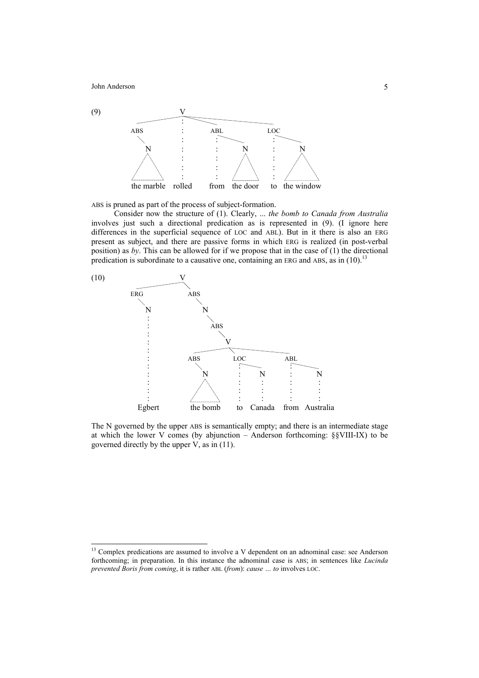l



ABS is pruned as part of the process of subject-formation.

Consider now the structure of (1). Clearly, ... *the bomb to Canada from Australia* involves just such a directional predication as is represented in (9). (I ignore here differences in the superficial sequence of LOC and ABL). But in it there is also an ERG present as subject, and there are passive forms in which ERG is realized (in post-verbal position) as *by*. This can be allowed for if we propose that in the case of (1) the directional predication is subordinate to a causative one, containing an ERG and ABS, as in  $(10)^{13}$  $(10)^{13}$  $(10)^{13}$ 



The N governed by the upper ABS is semantically empty; and there is an intermediate stage at which the lower V comes (by abjunction – Anderson forthcoming: §§VIII-IX) to be governed directly by the upper V, as in (11).

<span id="page-6-0"></span><sup>&</sup>lt;sup>13</sup> Complex predications are assumed to involve a V dependent on an adnominal case: see Anderson forthcoming; in preparation. In this instance the adnominal case is ABS; in sentences like *Lucinda prevented Boris from coming*, it is rather ABL (*from*): *cause … to* involves LOC.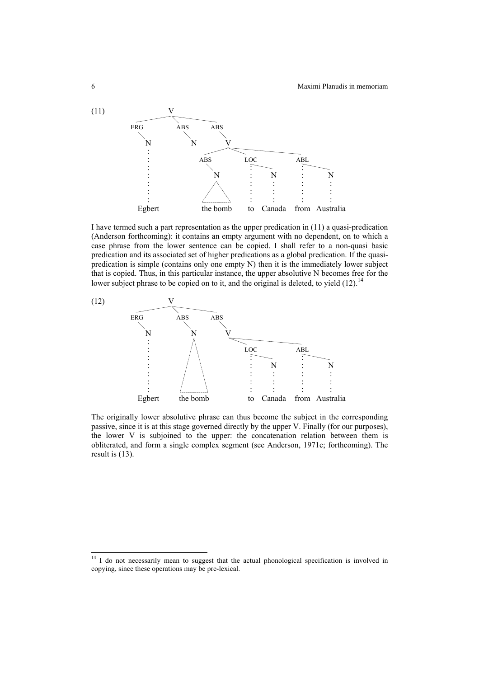

I have termed such a part representation as the upper predication in (11) a quasi-predication (Anderson forthcoming): it contains an empty argument with no dependent, on to which a case phrase from the lower sentence can be copied. I shall refer to a non-quasi basic predication and its associated set of higher predications as a global predication. If the quasipredication is simple (contains only one empty N) then it is the immediately lower subject that is copied. Thus, in this particular instance, the upper absolutive N becomes free for the lower subject phrase to be copied on to it, and the original is deleted, to yield  $(12)$ .<sup>14</sup>



The originally lower absolutive phrase can thus become the subject in the corresponding passive, since it is at this stage governed directly by the upper V. Finally (for our purposes), the lower V is subjoined to the upper: the concatenation relation between them is obliterated, and form a single complex segment (see Anderson, 1971c; forthcoming). The result is (13).

<span id="page-7-0"></span><sup>&</sup>lt;sup>14</sup> I do not necessarily mean to suggest that the actual phonological specification is involved in copying, since these operations may be pre-lexical.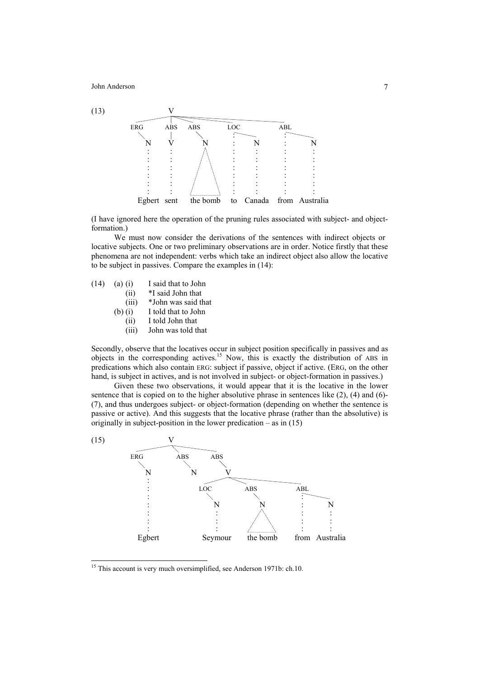

(I have ignored here the operation of the pruning rules associated with subject- and objectformation.)

We must now consider the derivations of the sentences with indirect objects or locative subjects. One or two preliminary observations are in order. Notice firstly that these phenomena are not independent: verbs which take an indirect object also allow the locative to be subject in passives. Compare the examples in (14):

| (14) | $(a)$ (i) | I said that to John |
|------|-----------|---------------------|
|      | (ii)      | *I said John that   |
|      | (iii)     | *John was said that |

- 
- (b) (i) I told that to John (ii) I told John that
	- (iii) John was told that
	-

Secondly, observe that the locatives occur in subject position specifically in passives and as objects in the corresponding actives.[15](#page-8-0) Now, this is exactly the distribution of ABS in predications which also contain ERG: subject if passive, object if active. (ERG, on the other hand, is subject in actives, and is not involved in subject- or object-formation in passives.)

Given these two observations, it would appear that it is the locative in the lower sentence that is copied on to the higher absolutive phrase in sentences like  $(2)$ ,  $(4)$  and  $(6)$ -(7), and thus undergoes subject- or object-formation (depending on whether the sentence is passive or active). And this suggests that the locative phrase (rather than the absolutive) is originally in subject-position in the lower predication – as in  $(15)$ 



<span id="page-8-0"></span><sup>&</sup>lt;sup>15</sup> This account is very much oversimplified, see Anderson 1971b: ch.10.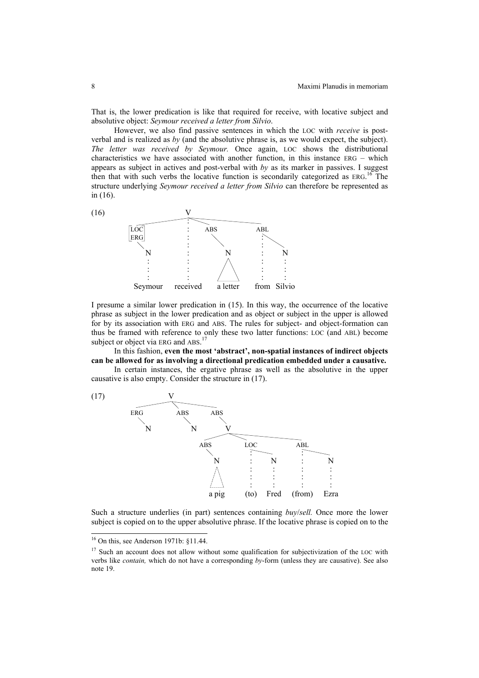That is, the lower predication is like that required for receive, with locative subject and absolutive object: *Seymour received a letter from Silvio*.

However, we also find passive sentences in which the LOC with *receive* is postverbal and is realized as *by* (and the absolutive phrase is, as we would expect, the subject). *The letter was received by Seymour.* Once again, LOC shows the distributional characteristics we have associated with another function, in this instance ERG – which appears as subject in actives and post-verbal with *by* as its marker in passives. I suggest then that with such verbs the locative function is secondarily categorized as ERG.<sup>16</sup> The structure underlying *Seymour received a letter from Silvio* can therefore be represented as in (16).



I presume a similar lower predication in (15). In this way, the occurrence of the locative phrase as subject in the lower predication and as object or subject in the upper is allowed for by its association with ERG and ABS. The rules for subject- and object-formation can thus be framed with reference to only these two latter functions: LOC (and ABL) become subject or object via ERG and ABS.<sup>[17](#page-9-1)</sup>

In this fashion, **even the most 'abstract', non-spatial instances of indirect objects can be allowed for as involving a directional predication embedded under a causative.**

In certain instances, the ergative phrase as well as the absolutive in the upper causative is also empty. Consider the structure in (17).



Such a structure underlies (in part) sentences containing *buy*/*sell.* Once more the lower subject is copied on to the upper absolutive phrase. If the locative phrase is copied on to the

<span id="page-9-0"></span><sup>16</sup> On this, see Anderson 1971b: §11.44.

<span id="page-9-1"></span><sup>&</sup>lt;sup>17</sup> Such an account does not allow without some qualification for subjectivization of the LOC with verbs like *contain,* which do not have a corresponding *by*-form (unless they are causative). See also note 19.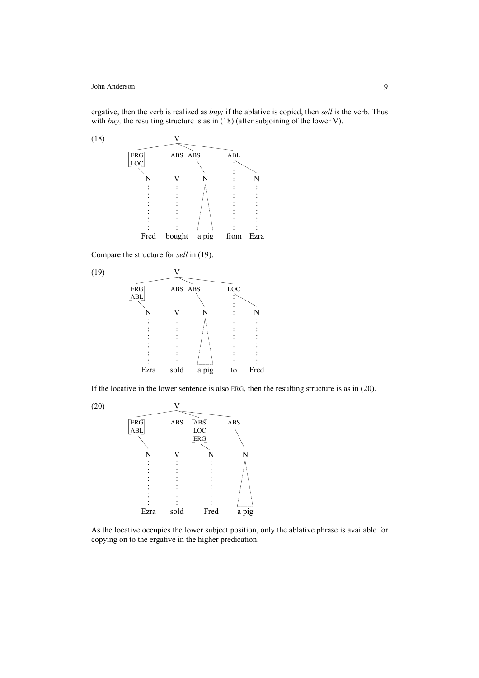ergative, then the verb is realized as *buy;* if the ablative is copied, then *sell* is the verb. Thus with *buy*, the resulting structure is as in (18) (after subjoining of the lower V).



Compare the structure for *sell* in (19).



If the locative in the lower sentence is also ERG, then the resulting structure is as in (20).



As the locative occupies the lower subject position, only the ablative phrase is available for copying on to the ergative in the higher predication.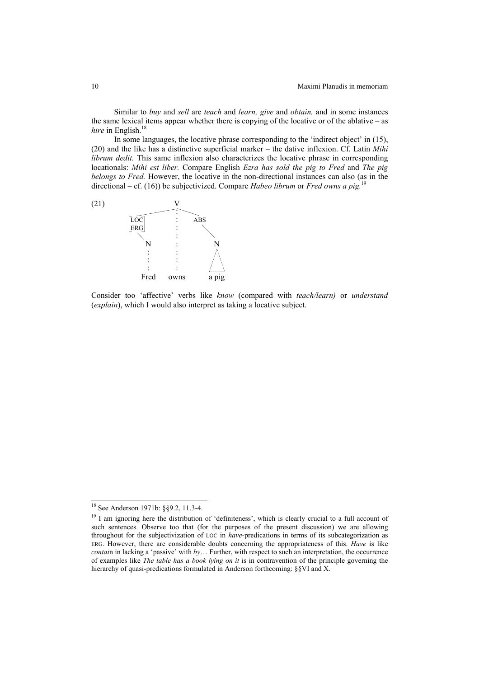Similar to *buy* and *sell* are *teach* and *learn, give* and *obtain,* and in some instances the same lexical items appear whether there is copying of the locative or of the ablative – as *hire* in English. [18](#page-11-0)

In some languages, the locative phrase corresponding to the 'indirect object' in (15), (20) and the like has a distinctive superficial marker – the dative inflexion. Cf. Latin *Mihi librum dedit.* This same inflexion also characterizes the locative phrase in corresponding locationals: *Mihi est liber.* Compare English *Ezra has sold the pig to Fred* and *The pig belongs to Fred.* However, the locative in the non-directional instances can also (as in the directional – cf. (16)) be subjectivized. Compare *Habeo librum* or *Fred owns a pig.* 



Consider too 'affective' verbs like *know* (compared with *teach/learn)* or *understand*  (*explain*), which I would also interpret as taking a locative subject.

<span id="page-11-0"></span><sup>&</sup>lt;sup>18</sup> See Anderson 1971b: §§9.2, 11.3-4.

<span id="page-11-1"></span><sup>&</sup>lt;sup>19</sup> I am ignoring here the distribution of 'definiteness', which is clearly crucial to a full account of such sentences. Observe too that (for the purposes of the present discussion) we are allowing throughout for the subjectivization of LOC in *have*-predications in terms of its subcategorization as ERG. However, there are considerable doubts concerning the appropriateness of this. *Have* is like *contai*n in lacking a 'passive' with *by*… Further, with respect to such an interpretation, the occurrence of examples like *The table has a book lying on it* is in contravention of the principle governing the hierarchy of quasi-predications formulated in Anderson forthcoming: §§VI and X.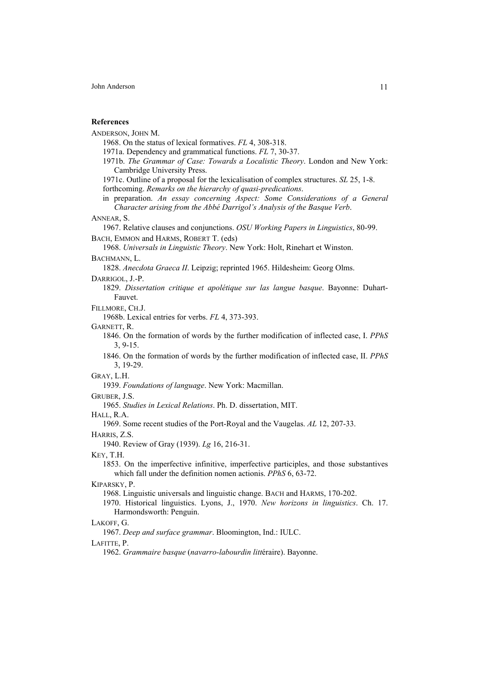## **References**

ANDERSON, JOHN M.

1968. On the status of lexical formatives. *FL* 4, 308-318.

1971a. Dependency and grammatical functions. *FL* 7, 30-37.

1971b. *The Grammar of Case: Towards a Localistic Theory*. London and New York: Cambridge University Press.

1971c. Outline of a proposal for the lexicalisation of complex structures. *SL* 25, 1-8. forthcoming. *Remarks on the hierarchy of quasi-predications*.

in preparation. *An essay concerning Aspect: Some Considerations of a General Character arising from the Abbé Darrigol's Analysis of the Basque Verb*.

#### ANNEAR, S.

1967. Relative clauses and conjunctions. *OSU Working Papers in Linguistics*, 80-99. BACH, EMMON and HARMS, ROBERT T. (eds)

1968. *Universals in Linguistic Theory*. New York: Holt, Rinehart et Winston. BACHMANN, L.

1828. *Anecdota Graeca II*. Leipzig; reprinted 1965. Hildesheim: Georg Olms.

## DARRIGOL, J.-P.

1829. *Dissertation critique et apolétique sur las langue basque*. Bayonne: Duhart-Fauvet.

FILLMORE, CH.J.

1968b. Lexical entries for verbs. *FL* 4, 373-393.

GARNETT, R.

1846. On the formation of words by the further modification of inflected case, I. *PPhS* 3, 9-15.

1846. On the formation of words by the further modification of inflected case, II. *PPhS* 3, 19-29.

GRAY, L.H.

1939. *Foundations of language*. New York: Macmillan.

GRUBER, J.S.

1965. *Studies in Lexical Relations*. Ph. D. dissertation, MIT.

HALL, R.A.

1969. Some recent studies of the Port-Royal and the Vaugelas. *AL* 12, 207-33.

HARRIS, Z.S.

1940. Review of Gray (1939). *Lg* 16, 216-31.

KEY, T.H.

1853. On the imperfective infinitive, imperfective participles, and those substantives which fall under the definition nomen actionis. *PPhS* 6, 63-72.

KIPARSKY, P.

1968. Linguistic universals and linguistic change. BACH and HARMS, 170-202.

1970. Historical linguistics. Lyons, J., 1970. *New horizons in linguistics*. Ch. 17. Harmondsworth: Penguin.

#### LAKOFF, G.

1967. *Deep and surface grammar*. Bloomington, Ind.: IULC.

LAFITTE, P.

1962. *Grammaire basque* (*navarro-labourdin litt*éraire). Bayonne.